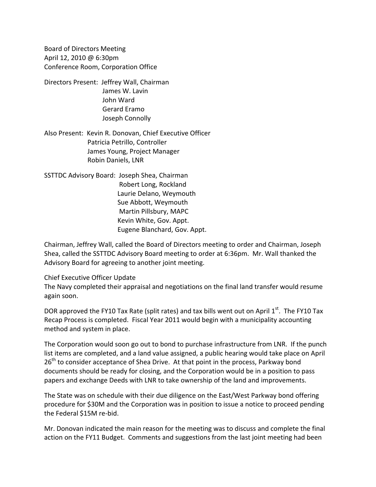Board of Directors Meeting April 12, 2010 @ 6:30pm Conference Room, Corporation Office

Directors Present: Jeffrey Wall, Chairman James W. Lavin John Ward Gerard Eramo Joseph Connolly

Also Present: Kevin R. Donovan, Chief Executive Officer Patricia Petrillo, Controller James Young, Project Manager Robin Daniels, LNR

SSTTDC Advisory Board: Joseph Shea, Chairman Robert Long, Rockland Laurie Delano, Weymouth Sue Abbott, Weymouth Martin Pillsbury, MAPC Kevin White, Gov. Appt. Eugene Blanchard, Gov. Appt.

Chairman, Jeffrey Wall, called the Board of Directors meeting to order and Chairman, Joseph Shea, called the SSTTDC Advisory Board meeting to order at 6:36pm. Mr. Wall thanked the Advisory Board for agreeing to another joint meeting.

#### Chief Executive Officer Update

The Navy completed their appraisal and negotiations on the final land transfer would resume again soon.

DOR approved the FY10 Tax Rate (split rates) and tax bills went out on April  $1<sup>st</sup>$ . The FY10 Tax Recap Process is completed. Fiscal Year 2011 would begin with a municipality accounting method and system in place.

The Corporation would soon go out to bond to purchase infrastructure from LNR. If the punch list items are completed, and a land value assigned, a public hearing would take place on April 26<sup>th</sup> to consider acceptance of Shea Drive. At that point in the process, Parkway bond documents should be ready for closing, and the Corporation would be in a position to pass papers and exchange Deeds with LNR to take ownership of the land and improvements.

The State was on schedule with their due diligence on the East/West Parkway bond offering procedure for \$30M and the Corporation was in position to issue a notice to proceed pending the Federal \$15M re‐bid.

Mr. Donovan indicated the main reason for the meeting was to discuss and complete the final action on the FY11 Budget. Comments and suggestions from the last joint meeting had been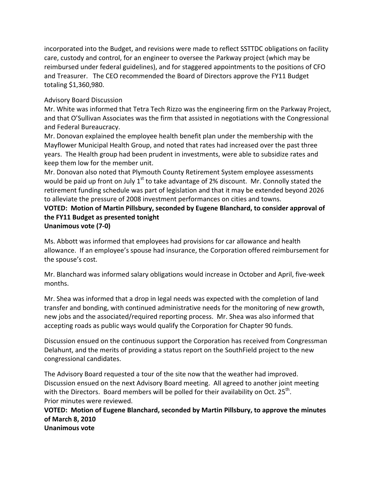incorporated into the Budget, and revisions were made to reflect SSTTDC obligations on facility care, custody and control, for an engineer to oversee the Parkway project (which may be reimbursed under federal guidelines), and for staggered appointments to the positions of CFO and Treasurer. The CEO recommended the Board of Directors approve the FY11 Budget totaling \$1,360,980.

## Advisory Board Discussion

Mr. White was informed that Tetra Tech Rizzo was the engineering firm on the Parkway Project, and that O'Sullivan Associates was the firm that assisted in negotiations with the Congressional and Federal Bureaucracy.

Mr. Donovan explained the employee health benefit plan under the membership with the Mayflower Municipal Health Group, and noted that rates had increased over the past three years. The Health group had been prudent in investments, were able to subsidize rates and keep them low for the member unit.

Mr. Donovan also noted that Plymouth County Retirement System employee assessments would be paid up front on July  $1<sup>st</sup>$  to take advantage of 2% discount. Mr. Connolly stated the retirement funding schedule was part of legislation and that it may be extended beyond 2026 to alleviate the pressure of 2008 investment performances on cities and towns.

# **VOTED: Motion of Martin Pillsbury, seconded by Eugene Blanchard, to consider approval of the FY11 Budget as presented tonight**

## **Unanimous vote (7‐0)**

Ms. Abbott was informed that employees had provisions for car allowance and health allowance. If an employee's spouse had insurance, the Corporation offered reimbursement for the spouse's cost.

Mr. Blanchard was informed salary obligations would increase in October and April, five-week months.

Mr. Shea was informed that a drop in legal needs was expected with the completion of land transfer and bonding, with continued administrative needs for the monitoring of new growth, new jobs and the associated/required reporting process. Mr. Shea was also informed that accepting roads as public ways would qualify the Corporation for Chapter 90 funds.

Discussion ensued on the continuous support the Corporation has received from Congressman Delahunt, and the merits of providing a status report on the SouthField project to the new congressional candidates.

The Advisory Board requested a tour of the site now that the weather had improved. Discussion ensued on the next Advisory Board meeting. All agreed to another joint meeting with the Directors. Board members will be polled for their availability on Oct.  $25^{th}$ . Prior minutes were reviewed.

### **VOTED: Motion of Eugene Blanchard, seconded by Martin Pillsbury, to approve the minutes of March 8, 2010 Unanimous vote**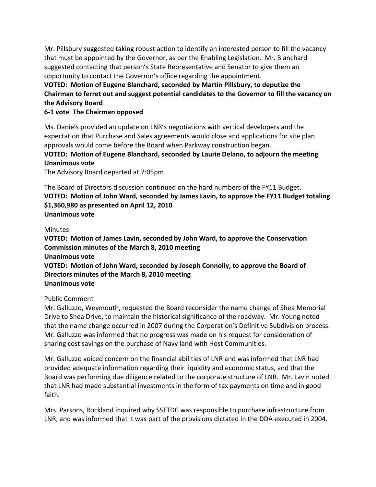Mr. Pillsbury suggested taking robust action to identify an interested person to fill the vacancy that must be appointed by the Governor, as per the Enabling Legislation. Mr. Blanchard suggested contacting that person's State Representative and Senator to give them an opportunity to contact the Governor's office regarding the appointment.

## **VOTED: Motion of Eugene Blanchard, seconded by Martin Pillsbury, to deputize the Chairman to ferret out and suggest potential candidates to the Governor to fill the vacancy on the Advisory Board**

## **6‐1 vote The Chairman opposed**

Ms. Daniels provided an update on LNR's negotiations with vertical developers and the expectation that Purchase and Sales agreements would close and applications for site plan approvals would come before the Board when Parkway construction began.

**VOTED: Motion of Eugene Blanchard, seconded by Laurie Delano, to adjourn the meeting Unanimous vote**

The Advisory Board departed at 7:05pm

The Board of Directors discussion continued on the hard numbers of the FY11 Budget. **VOTED: Motion of John Ward, seconded by James Lavin, to approve the FY11 Budget totaling \$1,360,980 as presented on April 12, 2010 Unanimous vote**

#### **Minutes**

**VOTED: Motion of James Lavin, seconded by John Ward, to approve the Conservation Commission minutes of the March 8, 2010 meeting Unanimous vote VOTED: Motion of John Ward, seconded by Joseph Connolly, to approve the Board of Directors minutes of the March 8, 2010 meeting Unanimous vote**

#### Public Comment

Mr. Galluzzo, Weymouth, requested the Board reconsider the name change of Shea Memorial Drive to Shea Drive, to maintain the historical significance of the roadway. Mr. Young noted that the name change occurred in 2007 during the Corporation's Definitive Subdivision process. Mr. Galluzzo was informed that no progress was made on his request for consideration of sharing cost savings on the purchase of Navy land with Host Communities.

Mr. Galluzzo voiced concern on the financial abilities of LNR and was informed that LNR had provided adequate information regarding their liquidity and economic status, and that the Board was performing due diligence related to the corporate structure of LNR. Mr. Lavin noted that LNR had made substantial investments in the form of tax payments on time and in good faith.

Mrs. Parsons, Rockland inquired why SSTTDC was responsible to purchase infrastructure from LNR, and was informed that it was part of the provisions dictated in the DDA executed in 2004.